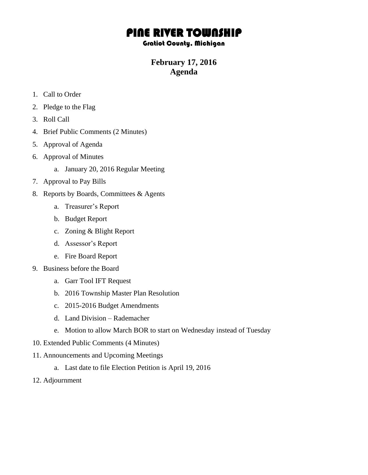## PINE RIVER TOWNSHIP

## Gratiot County, Michigan

## **February 17, 2016 Agenda**

- 1. Call to Order
- 2. Pledge to the Flag
- 3. Roll Call
- 4. Brief Public Comments (2 Minutes)
- 5. Approval of Agenda
- 6. Approval of Minutes
	- a. January 20, 2016 Regular Meeting
- 7. Approval to Pay Bills
- 8. Reports by Boards, Committees & Agents
	- a. Treasurer's Report
	- b. Budget Report
	- c. Zoning & Blight Report
	- d. Assessor's Report
	- e. Fire Board Report
- 9. Business before the Board
	- a. Garr Tool IFT Request
	- b. 2016 Township Master Plan Resolution
	- c. 2015-2016 Budget Amendments
	- d. Land Division Rademacher
	- e. Motion to allow March BOR to start on Wednesday instead of Tuesday
- 10. Extended Public Comments (4 Minutes)
- 11. Announcements and Upcoming Meetings
	- a. Last date to file Election Petition is April 19, 2016
- 12. Adjournment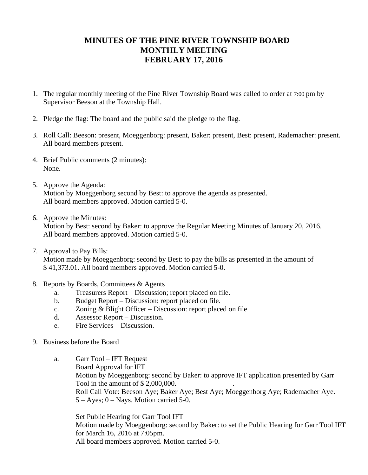## **MINUTES OF THE PINE RIVER TOWNSHIP BOARD MONTHLY MEETING FEBRUARY 17, 2016**

- 1. The regular monthly meeting of the Pine River Township Board was called to order at 7:00 pm by Supervisor Beeson at the Township Hall.
- 2. Pledge the flag: The board and the public said the pledge to the flag.
- 3. Roll Call: Beeson: present, Moeggenborg: present, Baker: present, Best: present, Rademacher: present. All board members present.
- 4. Brief Public comments (2 minutes): None.
- 5. Approve the Agenda: Motion by Moeggenborg second by Best: to approve the agenda as presented. All board members approved. Motion carried 5-0.
- 6. Approve the Minutes: Motion by Best: second by Baker: to approve the Regular Meeting Minutes of January 20, 2016. All board members approved. Motion carried 5-0.
- 7. Approval to Pay Bills: Motion made by Moeggenborg: second by Best: to pay the bills as presented in the amount of \$ 41,373.01. All board members approved. Motion carried 5-0.
- 8. Reports by Boards, Committees & Agents
	- a. Treasurers Report Discussion; report placed on file.
	- b. Budget Report Discussion: report placed on file.
	- c. Zoning & Blight Officer Discussion: report placed on file
	- d. Assessor Report Discussion.
	- e. Fire Services Discussion.
- 9. Business before the Board
	- a. Garr Tool IFT Request Board Approval for IFT Motion by Moeggenborg: second by Baker: to approve IFT application presented by Garr Tool in the amount of  $$ 2,000,000$ . Roll Call Vote: Beeson Aye; Baker Aye; Best Aye; Moeggenborg Aye; Rademacher Aye.  $5 - Ayes$ ;  $0 - Nays$ . Motion carried 5-0.

 Set Public Hearing for Garr Tool IFT Motion made by Moeggenborg: second by Baker: to set the Public Hearing for Garr Tool IFT for March 16, 2016 at 7:05pm. All board members approved. Motion carried 5-0.